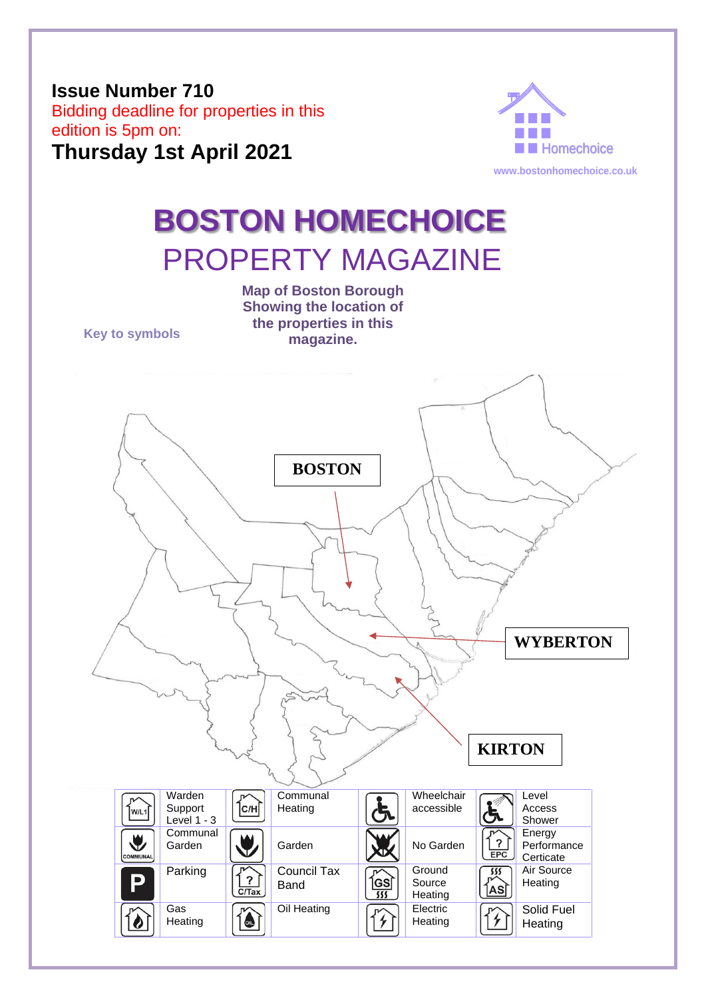## **Issue Number 710**  Bidding deadline for properties in this edition is 5pm on: **Thursday 1st April 2021**



# **BOSTON HOMECHOICE** PROPERTY MAGAZINE

**Key to symbols**

**Map of Boston Borough Showing the location of the properties in this magazine.**

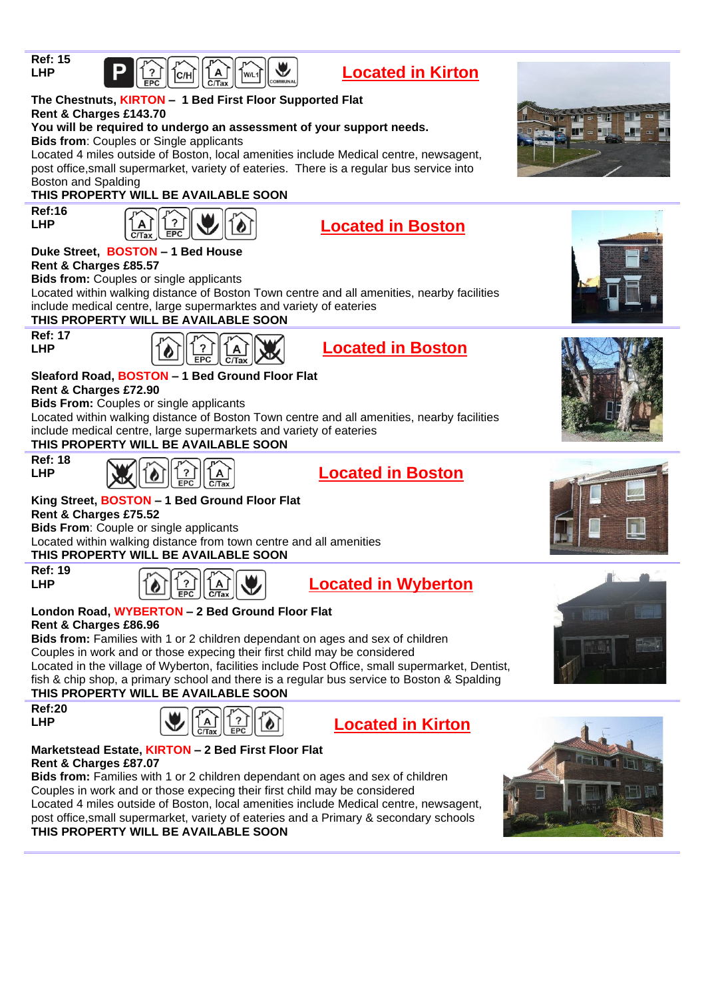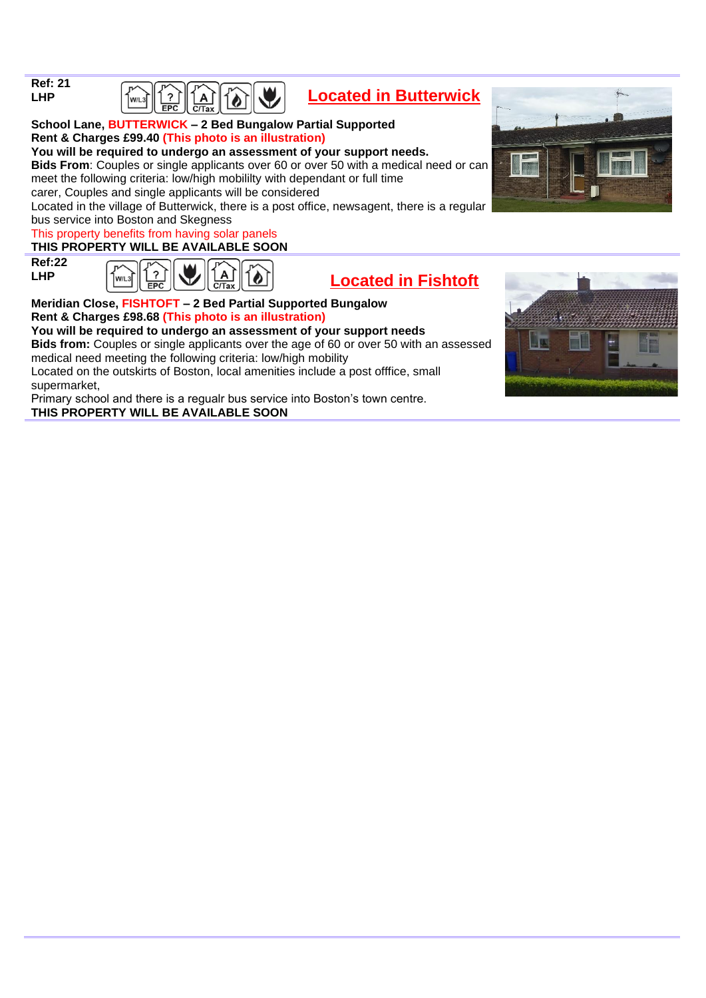| <b>Ref: 21</b> |  |
|----------------|--|
| LHP            |  |



## **Located in Butterwick**

**School Lane, BUTTERWICK – 2 Bed Bungalow Partial Supported Rent & Charges £99.40 (This photo is an illustration) You will be required to undergo an assessment of your support needs. Bids From**: Couples or single applicants over 60 or over 50 with a medical need or can

meet the following criteria: low/high mobililty with dependant or full time

carer, Couples and single applicants will be considered

Located in the village of Butterwick, there is a post office, newsagent, there is a regular bus service into Boston and Skegness

#### This property benefits from having solar panels

#### **THIS PROPERTY WILL BE AVAILABLE SOON**

 $\left[\begin{smallmatrix} w/2 \end{smallmatrix}\right]$ 

**Ref:22 LHP**

| $\left \frac{\binom{1}{2}}{\text{EPC}}\right \bigcup_{\text{C/Tax}}\left \frac{\widehat{A}}{\text{C/Tax}}\right \left \widehat{B}\right $<br>W/L3 |  |
|---------------------------------------------------------------------------------------------------------------------------------------------------|--|
|---------------------------------------------------------------------------------------------------------------------------------------------------|--|

## **Located in Fishtoft**

#### **Meridian Close, FISHTOFT – 2 Bed Partial Supported Bungalow Rent & Charges £98.68 (This photo is an illustration)**

**You will be required to undergo an assessment of your support needs**

**Bids from:** Couples or single applicants over the age of 60 or over 50 with an assessed medical need meeting the following criteria: low/high mobility

Located on the outskirts of Boston, local amenities include a post offfice, small supermarket,

Primary school and there is a regualr bus service into Boston's town centre. **THIS PROPERTY WILL BE AVAILABLE SOON**



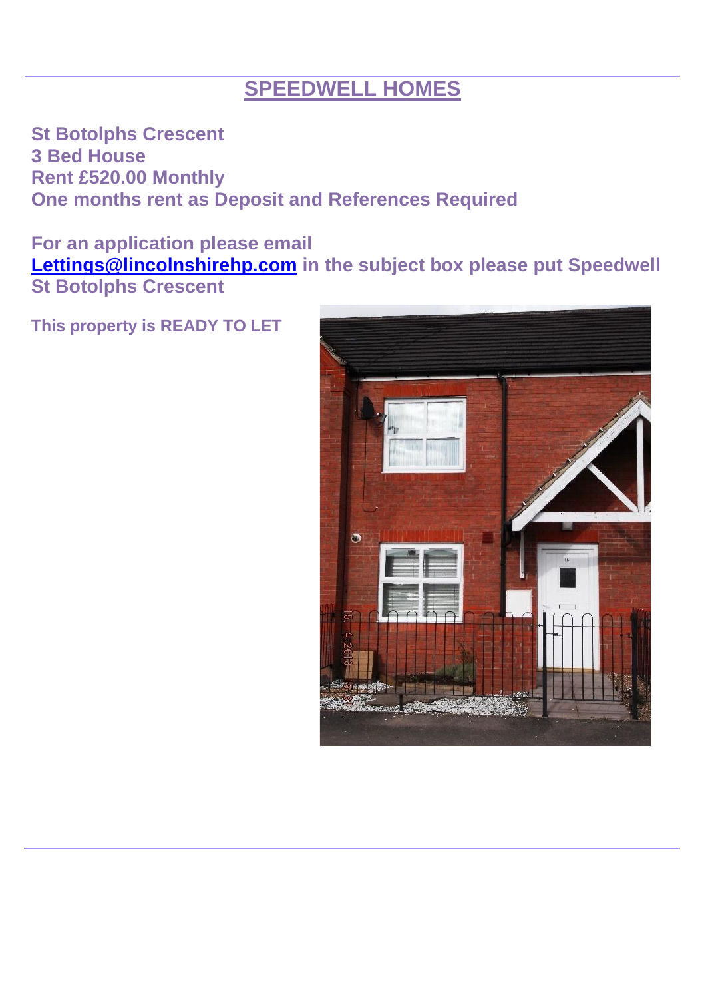## **SPEEDWELL HOMES**

**St Botolphs Crescent 3 Bed House Rent £520.00 Monthly One months rent as Deposit and References Required**

**For an application please email [Lettings@lincolnshirehp.com](mailto:Lettings@lincolnshirehp.com) in the subject box please put Speedwell St Botolphs Crescent**



**This property is READY TO LET**